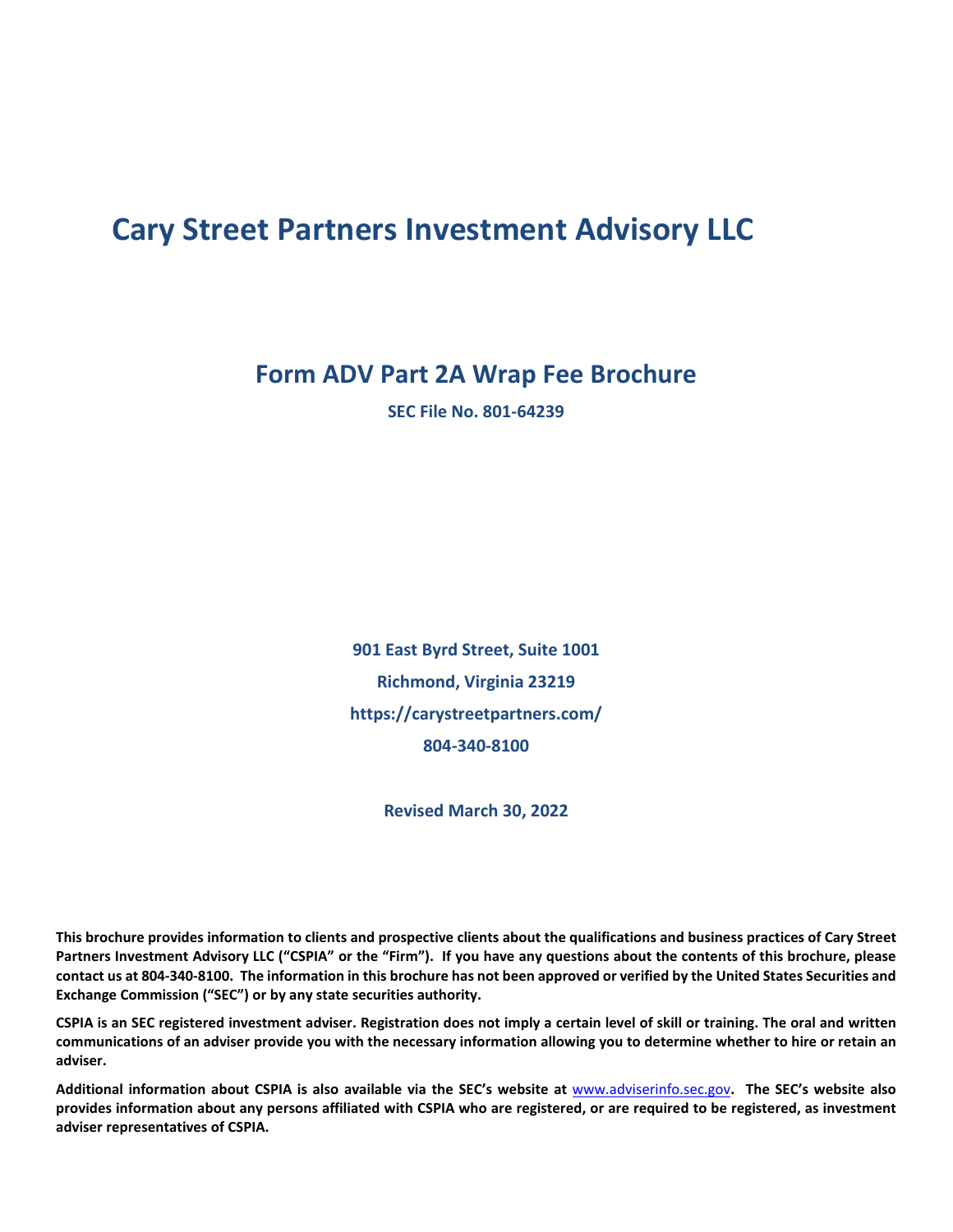# **Cary Street Partners Investment Advisory LLC**

### **Form ADV Part 2A Wrap Fee Brochure**

**SEC File No. 801-64239**

**901 East Byrd Street, Suite 1001 Richmond, Virginia 23219 https://carystreetpartners.com/ 804-340-8100**

**Revised March 30, 2022**

**This brochure provides information to clients and prospective clients about the qualifications and business practices of Cary Street Partners Investment Advisory LLC ("CSPIA" or the "Firm"). If you have any questions about the contents of this brochure, please contact us at 804-340-8100. The information in this brochure has not been approved or verified by the United States Securities and Exchange Commission ("SEC") or by any state securities authority.** 

**CSPIA is an SEC registered investment adviser. Registration does not imply a certain level of skill or training. The oral and written communications of an adviser provide you with the necessary information allowing you to determine whether to hire or retain an adviser.**

**Additional information about CSPIA is also available via the SEC's website at** [www.adviserinfo.sec.gov](http://www.adviserinfo.sec.gov/)**. The SEC's website also provides information about any persons affiliated with CSPIA who are registered, or are required to be registered, as investment adviser representatives of CSPIA.**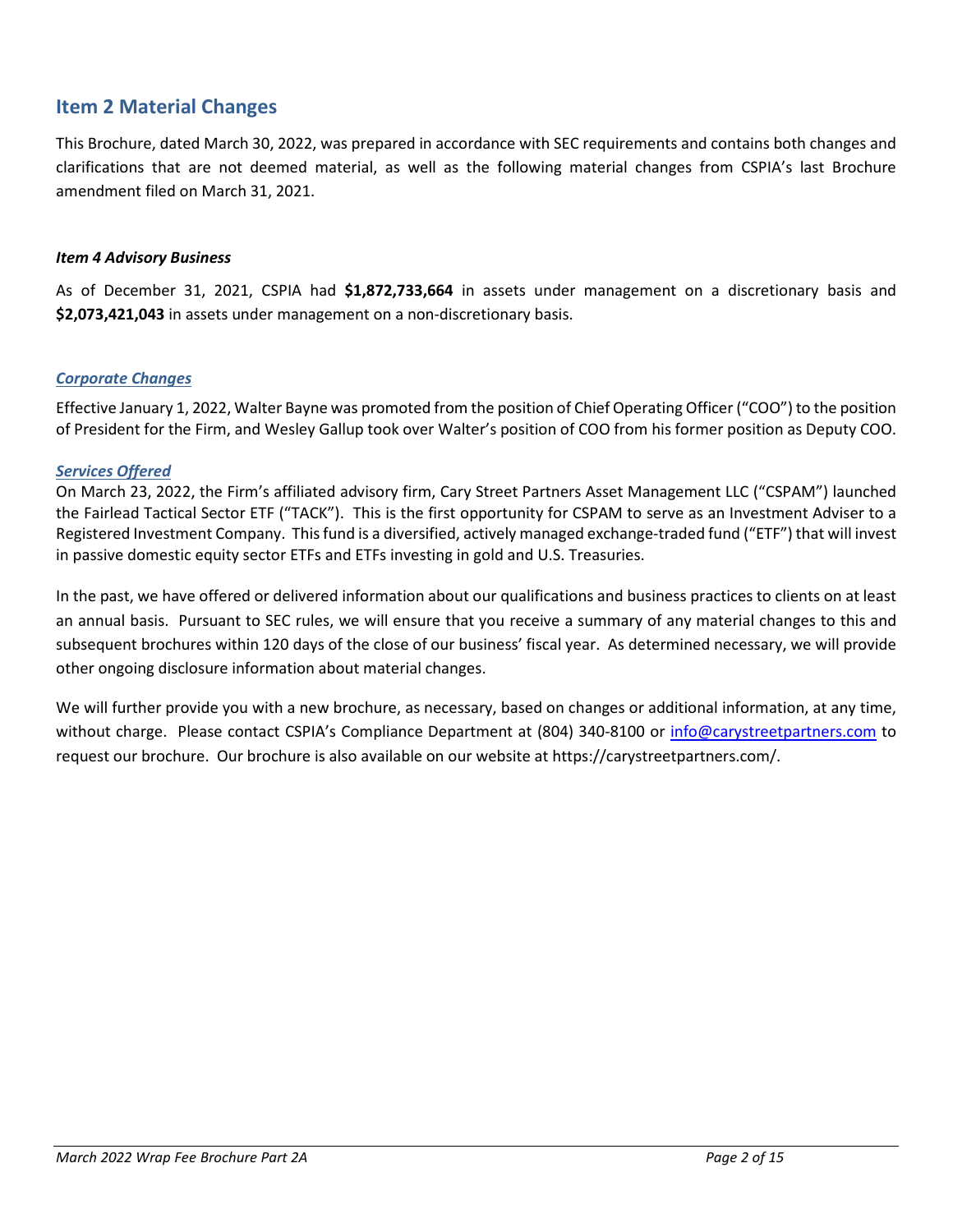### <span id="page-1-0"></span>**Item 2 Material Changes**

This Brochure, dated March 30, 2022, was prepared in accordance with SEC requirements and contains both changes and clarifications that are not deemed material, as well as the following material changes from CSPIA's last Brochure amendment filed on March 31, 2021.

#### *Item 4 Advisory Business*

As of December 31, 2021, CSPIA had **\$1,872,733,664** in assets under management on a discretionary basis and **\$2,073,421,043** in assets under management on a non-discretionary basis.

#### *Corporate Changes*

Effective January 1, 2022, Walter Bayne was promoted from the position of Chief Operating Officer ("COO") to the position of President for the Firm, and Wesley Gallup took over Walter's position of COO from his former position as Deputy COO.

#### *Services Offered*

On March 23, 2022, the Firm's affiliated advisory firm, Cary Street Partners Asset Management LLC ("CSPAM") launched the Fairlead Tactical Sector ETF ("TACK"). This is the first opportunity for CSPAM to serve as an Investment Adviser to a Registered Investment Company. This fund is a diversified, actively managed exchange-traded fund ("ETF") that will invest in passive domestic equity sector ETFs and ETFs investing in gold and U.S. Treasuries.

In the past, we have offered or delivered information about our qualifications and business practices to clients on at least an annual basis. Pursuant to SEC rules, we will ensure that you receive a summary of any material changes to this and subsequent brochures within 120 days of the close of our business' fiscal year. As determined necessary, we will provide other ongoing disclosure information about material changes.

We will further provide you with a new brochure, as necessary, based on changes or additional information, at any time, without charge. Please contact CSPIA's Compliance Department at (804) 340-8100 or [info@carystreetpartners.com](mailto:info@carystreetpartners.com) to request our brochure. Our brochure is also available on our website at https://carystreetpartners.com/.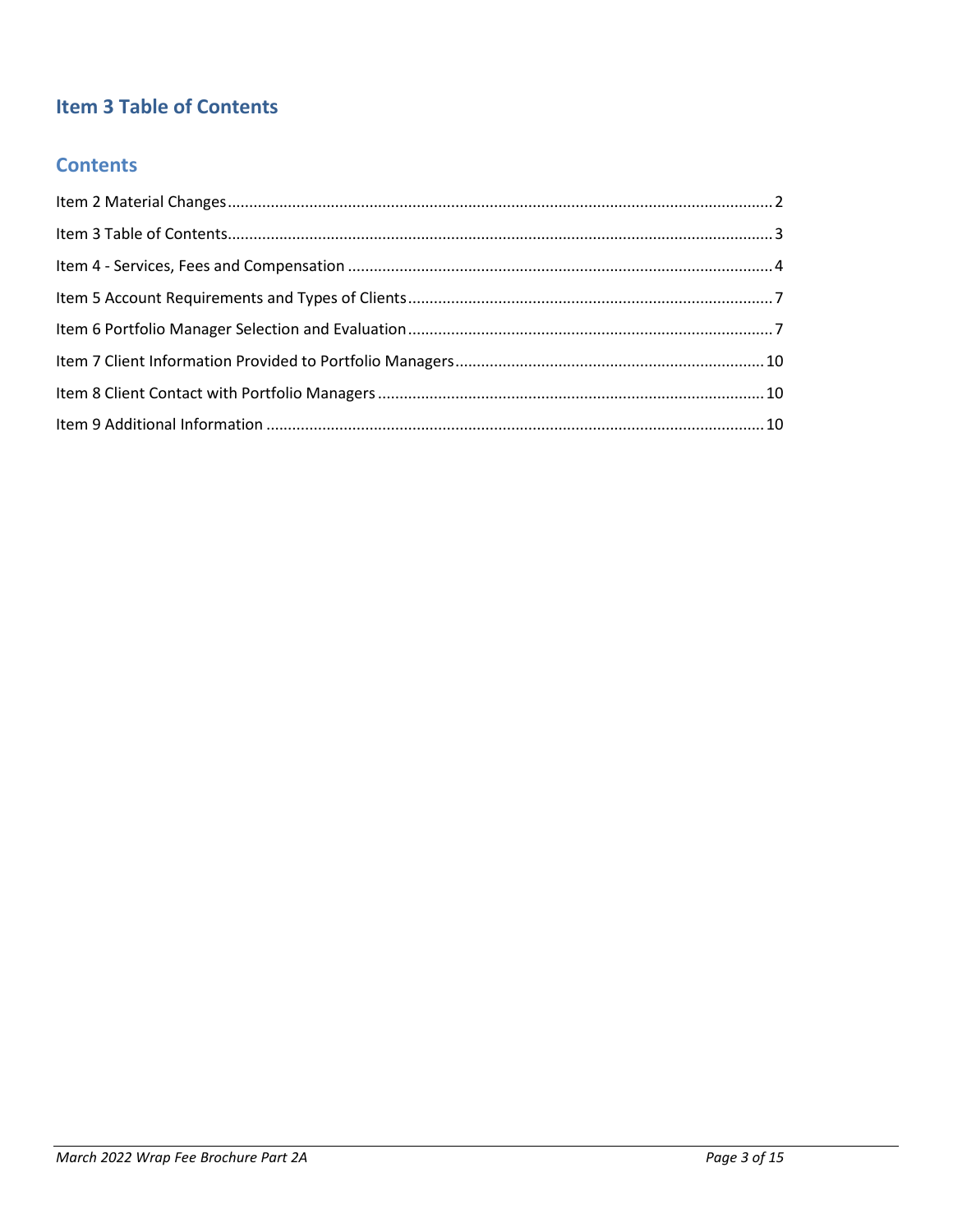## <span id="page-2-0"></span>**Item 3 Table of Contents**

### **Contents**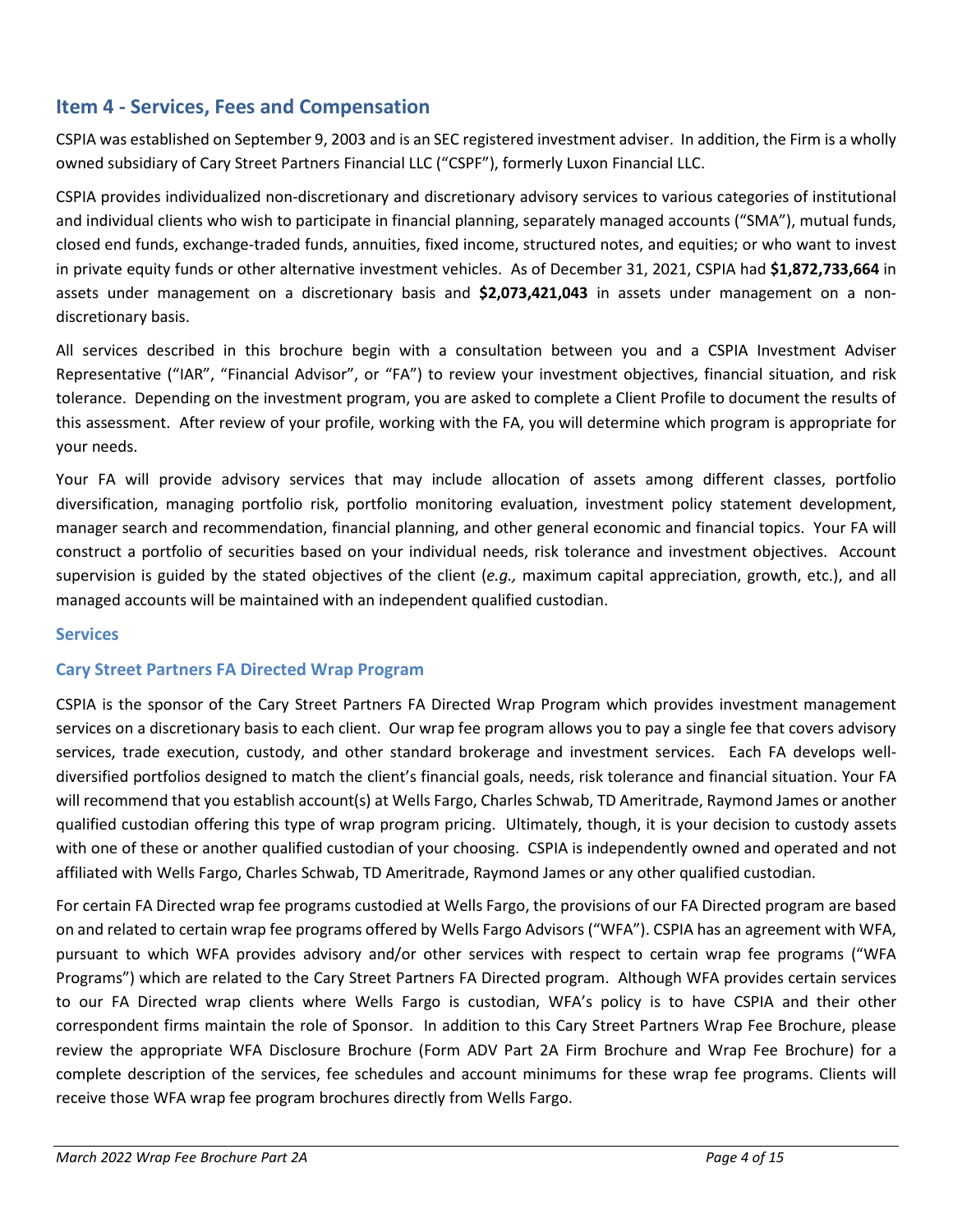### <span id="page-3-0"></span>**Item 4 - Services, Fees and Compensation**

CSPIA was established on September 9, 2003 and is an SEC registered investment adviser. In addition, the Firm is a wholly owned subsidiary of Cary Street Partners Financial LLC ("CSPF"), formerly Luxon Financial LLC.

CSPIA provides individualized non-discretionary and discretionary advisory services to various categories of institutional and individual clients who wish to participate in financial planning, separately managed accounts ("SMA"), mutual funds, closed end funds, exchange-traded funds, annuities, fixed income, structured notes, and equities; or who want to invest in private equity funds or other alternative investment vehicles. As of December 31, 2021, CSPIA had **\$1,872,733,664** in assets under management on a discretionary basis and **\$2,073,421,043** in assets under management on a nondiscretionary basis.

All services described in this brochure begin with a consultation between you and a CSPIA Investment Adviser Representative ("IAR", "Financial Advisor", or "FA") to review your investment objectives, financial situation, and risk tolerance. Depending on the investment program, you are asked to complete a Client Profile to document the results of this assessment. After review of your profile, working with the FA, you will determine which program is appropriate for your needs.

Your FA will provide advisory services that may include allocation of assets among different classes, portfolio diversification, managing portfolio risk, portfolio monitoring evaluation, investment policy statement development, manager search and recommendation, financial planning, and other general economic and financial topics. Your FA will construct a portfolio of securities based on your individual needs, risk tolerance and investment objectives. Account supervision is guided by the stated objectives of the client (*e.g.,* maximum capital appreciation, growth, etc.), and all managed accounts will be maintained with an independent qualified custodian.

#### **Services**

#### **Cary Street Partners FA Directed Wrap Program**

CSPIA is the sponsor of the Cary Street Partners FA Directed Wrap Program which provides investment management services on a discretionary basis to each client. Our wrap fee program allows you to pay a single fee that covers advisory services, trade execution, custody, and other standard brokerage and investment services. Each FA develops welldiversified portfolios designed to match the client's financial goals, needs, risk tolerance and financial situation. Your FA will recommend that you establish account(s) at Wells Fargo, Charles Schwab, TD Ameritrade, Raymond James or another qualified custodian offering this type of wrap program pricing. Ultimately, though, it is your decision to custody assets with one of these or another qualified custodian of your choosing. CSPIA is independently owned and operated and not affiliated with Wells Fargo, Charles Schwab, TD Ameritrade, Raymond James or any other qualified custodian.

For certain FA Directed wrap fee programs custodied at Wells Fargo, the provisions of our FA Directed program are based on and related to certain wrap fee programs offered by Wells Fargo Advisors ("WFA"). CSPIA has an agreement with WFA, pursuant to which WFA provides advisory and/or other services with respect to certain wrap fee programs ("WFA Programs") which are related to the Cary Street Partners FA Directed program. Although WFA provides certain services to our FA Directed wrap clients where Wells Fargo is custodian, WFA's policy is to have CSPIA and their other correspondent firms maintain the role of Sponsor. In addition to this Cary Street Partners Wrap Fee Brochure, please review the appropriate WFA Disclosure Brochure (Form ADV Part 2A Firm Brochure and Wrap Fee Brochure) for a complete description of the services, fee schedules and account minimums for these wrap fee programs. Clients will receive those WFA wrap fee program brochures directly from Wells Fargo.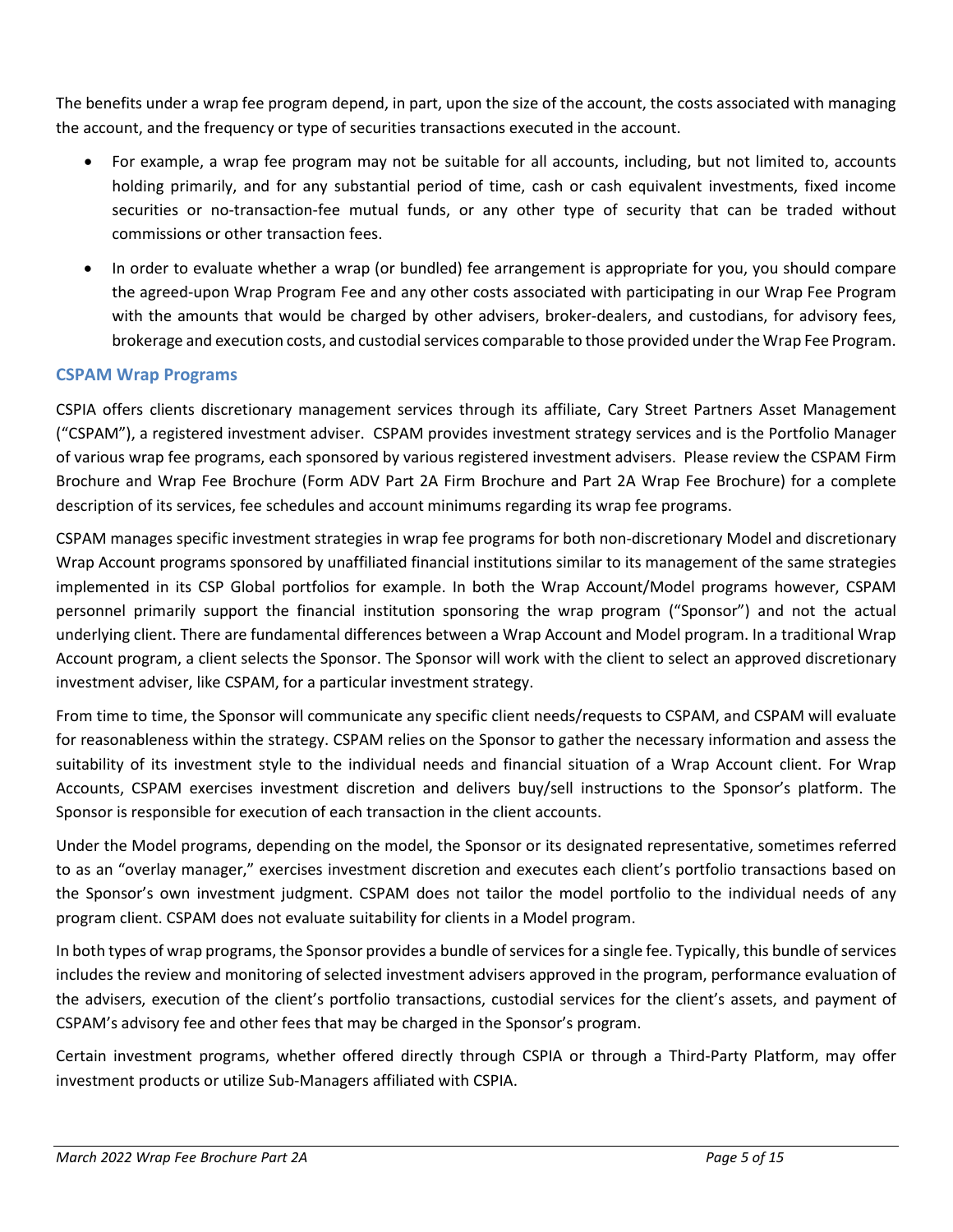The benefits under a wrap fee program depend, in part, upon the size of the account, the costs associated with managing the account, and the frequency or type of securities transactions executed in the account.

- For example, a wrap fee program may not be suitable for all accounts, including, but not limited to, accounts holding primarily, and for any substantial period of time, cash or cash equivalent investments, fixed income securities or no-transaction-fee mutual funds, or any other type of security that can be traded without commissions or other transaction fees.
- In order to evaluate whether a wrap (or bundled) fee arrangement is appropriate for you, you should compare the agreed-upon Wrap Program Fee and any other costs associated with participating in our Wrap Fee Program with the amounts that would be charged by other advisers, broker-dealers, and custodians, for advisory fees, brokerage and execution costs, and custodial services comparable to those provided under the Wrap Fee Program.

#### **CSPAM Wrap Programs**

CSPIA offers clients discretionary management services through its affiliate, Cary Street Partners Asset Management ("CSPAM"), a registered investment adviser. CSPAM provides investment strategy services and is the Portfolio Manager of various wrap fee programs, each sponsored by various registered investment advisers. Please review the CSPAM Firm Brochure and Wrap Fee Brochure (Form ADV Part 2A Firm Brochure and Part 2A Wrap Fee Brochure) for a complete description of its services, fee schedules and account minimums regarding its wrap fee programs.

CSPAM manages specific investment strategies in wrap fee programs for both non-discretionary Model and discretionary Wrap Account programs sponsored by unaffiliated financial institutions similar to its management of the same strategies implemented in its CSP Global portfolios for example. In both the Wrap Account/Model programs however, CSPAM personnel primarily support the financial institution sponsoring the wrap program ("Sponsor") and not the actual underlying client. There are fundamental differences between a Wrap Account and Model program. In a traditional Wrap Account program, a client selects the Sponsor. The Sponsor will work with the client to select an approved discretionary investment adviser, like CSPAM, for a particular investment strategy.

From time to time, the Sponsor will communicate any specific client needs/requests to CSPAM, and CSPAM will evaluate for reasonableness within the strategy. CSPAM relies on the Sponsor to gather the necessary information and assess the suitability of its investment style to the individual needs and financial situation of a Wrap Account client. For Wrap Accounts, CSPAM exercises investment discretion and delivers buy/sell instructions to the Sponsor's platform. The Sponsor is responsible for execution of each transaction in the client accounts.

Under the Model programs, depending on the model, the Sponsor or its designated representative, sometimes referred to as an "overlay manager," exercises investment discretion and executes each client's portfolio transactions based on the Sponsor's own investment judgment. CSPAM does not tailor the model portfolio to the individual needs of any program client. CSPAM does not evaluate suitability for clients in a Model program.

In both types of wrap programs, the Sponsor provides a bundle of services for a single fee. Typically, this bundle of services includes the review and monitoring of selected investment advisers approved in the program, performance evaluation of the advisers, execution of the client's portfolio transactions, custodial services for the client's assets, and payment of CSPAM's advisory fee and other fees that may be charged in the Sponsor's program.

Certain investment programs, whether offered directly through CSPIA or through a Third-Party Platform, may offer investment products or utilize Sub-Managers affiliated with CSPIA.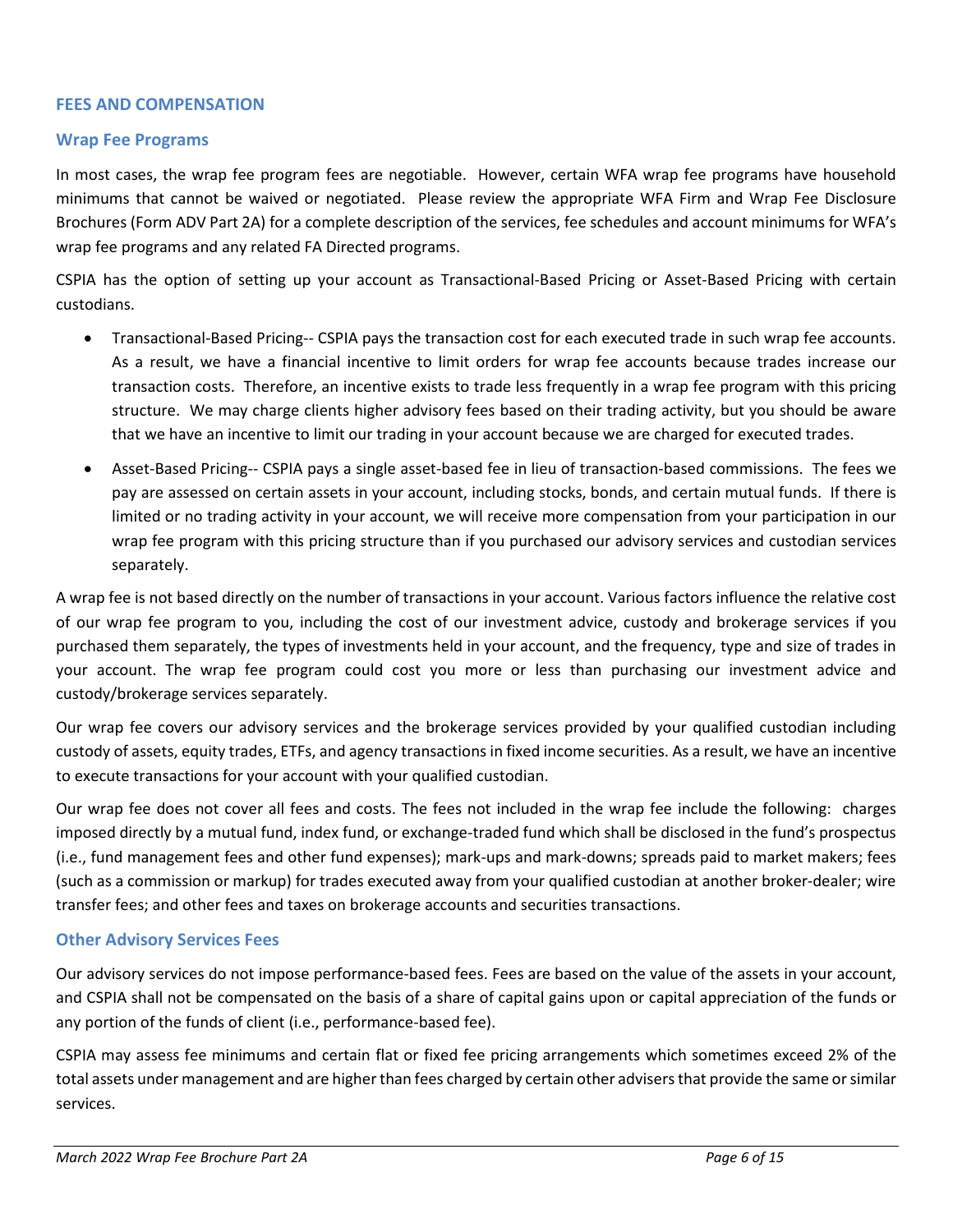#### **FEES AND COMPENSATION**

#### **Wrap Fee Programs**

In most cases, the wrap fee program fees are negotiable. However, certain WFA wrap fee programs have household minimums that cannot be waived or negotiated. Please review the appropriate WFA Firm and Wrap Fee Disclosure Brochures (Form ADV Part 2A) for a complete description of the services, fee schedules and account minimums for WFA's wrap fee programs and any related FA Directed programs.

CSPIA has the option of setting up your account as Transactional-Based Pricing or Asset-Based Pricing with certain custodians.

- Transactional-Based Pricing-- CSPIA pays the transaction cost for each executed trade in such wrap fee accounts. As a result, we have a financial incentive to limit orders for wrap fee accounts because trades increase our transaction costs. Therefore, an incentive exists to trade less frequently in a wrap fee program with this pricing structure. We may charge clients higher advisory fees based on their trading activity, but you should be aware that we have an incentive to limit our trading in your account because we are charged for executed trades.
- Asset-Based Pricing-- CSPIA pays a single asset-based fee in lieu of transaction-based commissions. The fees we pay are assessed on certain assets in your account, including stocks, bonds, and certain mutual funds. If there is limited or no trading activity in your account, we will receive more compensation from your participation in our wrap fee program with this pricing structure than if you purchased our advisory services and custodian services separately.

A wrap fee is not based directly on the number of transactions in your account. Various factors influence the relative cost of our wrap fee program to you, including the cost of our investment advice, custody and brokerage services if you purchased them separately, the types of investments held in your account, and the frequency, type and size of trades in your account. The wrap fee program could cost you more or less than purchasing our investment advice and custody/brokerage services separately.

Our wrap fee covers our advisory services and the brokerage services provided by your qualified custodian including custody of assets, equity trades, ETFs, and agency transactions in fixed income securities. As a result, we have an incentive to execute transactions for your account with your qualified custodian.

Our wrap fee does not cover all fees and costs. The fees not included in the wrap fee include the following: charges imposed directly by a mutual fund, index fund, or exchange-traded fund which shall be disclosed in the fund's prospectus (i.e., fund management fees and other fund expenses); mark-ups and mark-downs; spreads paid to market makers; fees (such as a commission or markup) for trades executed away from your qualified custodian at another broker-dealer; wire transfer fees; and other fees and taxes on brokerage accounts and securities transactions.

#### **Other Advisory Services Fees**

Our advisory services do not impose performance-based fees. Fees are based on the value of the assets in your account, and CSPIA shall not be compensated on the basis of a share of capital gains upon or capital appreciation of the funds or any portion of the funds of client (i.e., performance-based fee).

CSPIA may assess fee minimums and certain flat or fixed fee pricing arrangements which sometimes exceed 2% of the total assets under management and are higher than fees charged by certain other advisers that provide the same or similar services.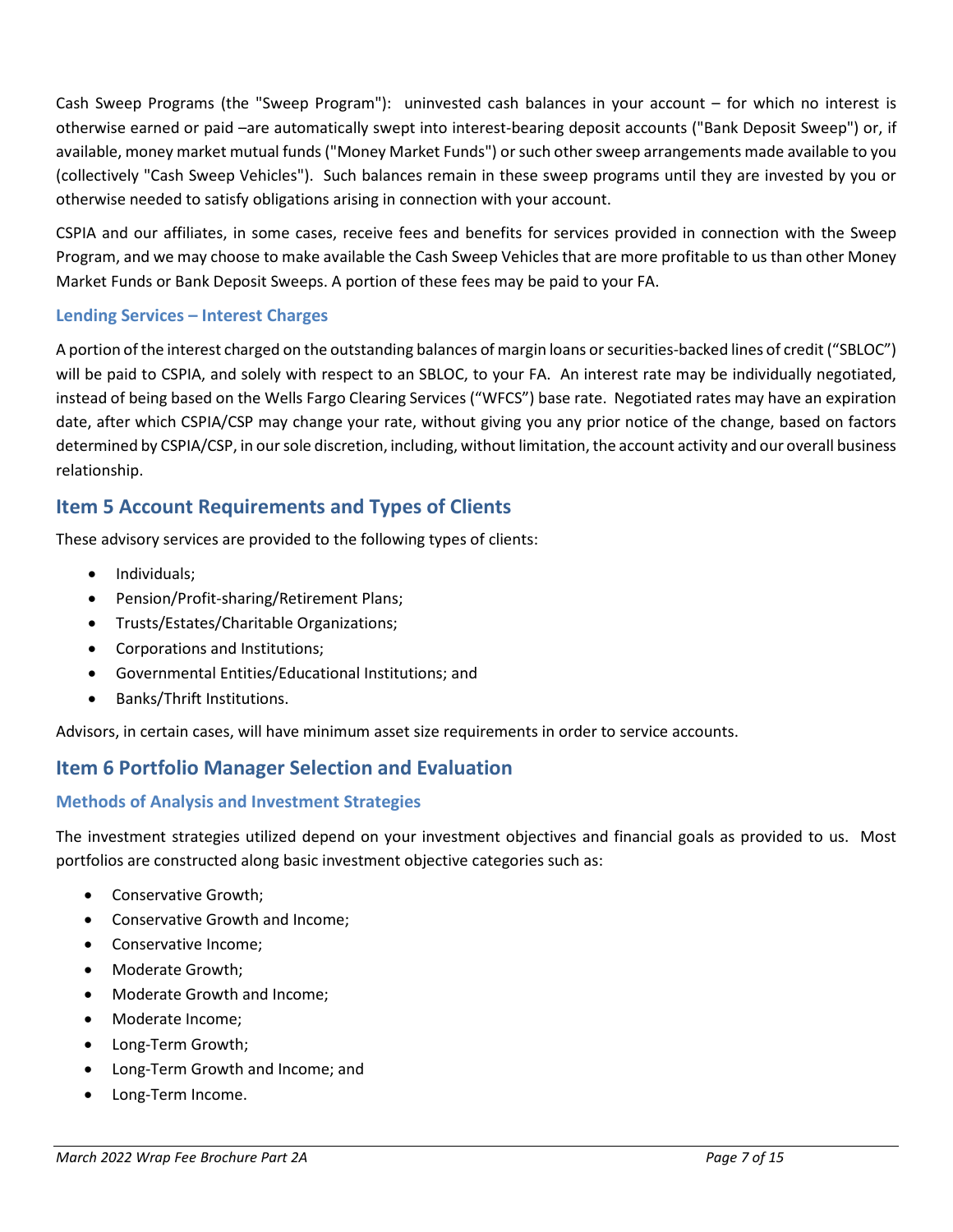Cash Sweep Programs (the "Sweep Program"): uninvested cash balances in your account – for which no interest is otherwise earned or paid –are automatically swept into interest-bearing deposit accounts ("Bank Deposit Sweep") or, if available, money market mutual funds ("Money Market Funds") or such other sweep arrangements made available to you (collectively "Cash Sweep Vehicles"). Such balances remain in these sweep programs until they are invested by you or otherwise needed to satisfy obligations arising in connection with your account.

CSPIA and our affiliates, in some cases, receive fees and benefits for services provided in connection with the Sweep Program, and we may choose to make available the Cash Sweep Vehicles that are more profitable to us than other Money Market Funds or Bank Deposit Sweeps. A portion of these fees may be paid to your FA.

#### **Lending Services – Interest Charges**

A portion of the interest charged on the outstanding balances of margin loans or securities-backed lines of credit ("SBLOC") will be paid to CSPIA, and solely with respect to an SBLOC, to your FA. An interest rate may be individually negotiated, instead of being based on the Wells Fargo Clearing Services ("WFCS") base rate. Negotiated rates may have an expiration date, after which CSPIA/CSP may change your rate, without giving you any prior notice of the change, based on factors determined by CSPIA/CSP, in our sole discretion, including, without limitation, the account activity and our overall business relationship.

### <span id="page-6-0"></span>**Item 5 Account Requirements and Types of Clients**

These advisory services are provided to the following types of clients:

- Individuals;
- Pension/Profit-sharing/Retirement Plans;
- Trusts/Estates/Charitable Organizations;
- Corporations and Institutions;
- Governmental Entities/Educational Institutions; and
- Banks/Thrift Institutions.

Advisors, in certain cases, will have minimum asset size requirements in order to service accounts.

### <span id="page-6-1"></span>**Item 6 Portfolio Manager Selection and Evaluation**

#### **Methods of Analysis and Investment Strategies**

The investment strategies utilized depend on your investment objectives and financial goals as provided to us. Most portfolios are constructed along basic investment objective categories such as:

- Conservative Growth;
- Conservative Growth and Income;
- Conservative Income;
- Moderate Growth;
- Moderate Growth and Income;
- Moderate Income;
- Long-Term Growth;
- Long-Term Growth and Income; and
- Long-Term Income.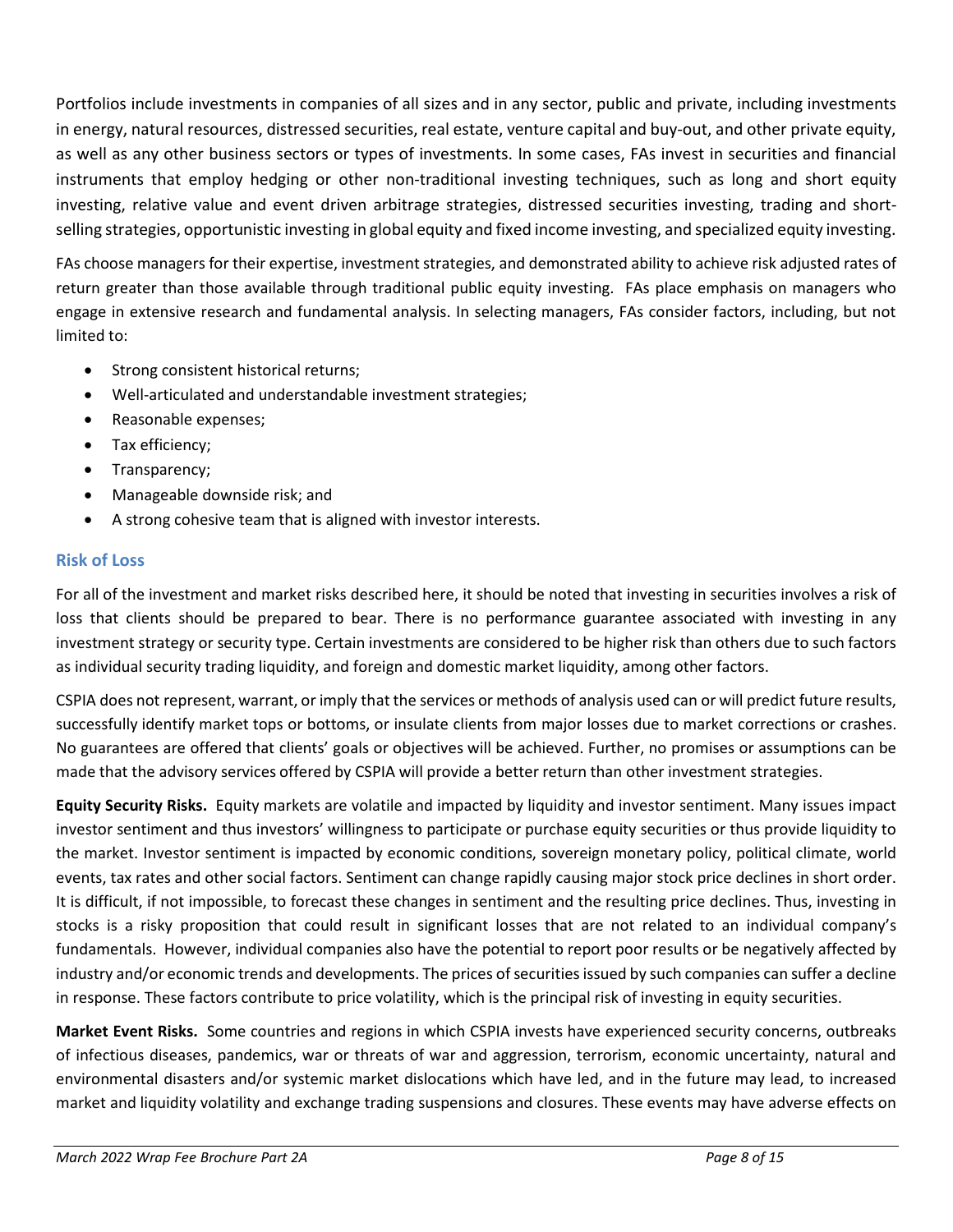Portfolios include investments in companies of all sizes and in any sector, public and private, including investments in energy, natural resources, distressed securities, real estate, venture capital and buy-out, and other private equity, as well as any other business sectors or types of investments. In some cases, FAs invest in securities and financial instruments that employ hedging or other non-traditional investing techniques, such as long and short equity investing, relative value and event driven arbitrage strategies, distressed securities investing, trading and shortselling strategies, opportunistic investing in global equity and fixed income investing, and specialized equity investing.

FAs choose managers for their expertise, investment strategies, and demonstrated ability to achieve risk adjusted rates of return greater than those available through traditional public equity investing. FAs place emphasis on managers who engage in extensive research and fundamental analysis. In selecting managers, FAs consider factors, including, but not limited to:

- Strong consistent historical returns;
- Well-articulated and understandable investment strategies;
- Reasonable expenses;
- Tax efficiency;
- Transparency;
- Manageable downside risk; and
- A strong cohesive team that is aligned with investor interests.

#### **Risk of Loss**

For all of the investment and market risks described here, it should be noted that investing in securities involves a risk of loss that clients should be prepared to bear. There is no performance guarantee associated with investing in any investment strategy or security type. Certain investments are considered to be higher risk than others due to such factors as individual security trading liquidity, and foreign and domestic market liquidity, among other factors.

CSPIA does not represent, warrant, or imply that the services or methods of analysis used can or will predict future results, successfully identify market tops or bottoms, or insulate clients from major losses due to market corrections or crashes. No guarantees are offered that clients' goals or objectives will be achieved. Further, no promises or assumptions can be made that the advisory services offered by CSPIA will provide a better return than other investment strategies.

**Equity Security Risks.** Equity markets are volatile and impacted by liquidity and investor sentiment. Many issues impact investor sentiment and thus investors' willingness to participate or purchase equity securities or thus provide liquidity to the market. Investor sentiment is impacted by economic conditions, sovereign monetary policy, political climate, world events, tax rates and other social factors. Sentiment can change rapidly causing major stock price declines in short order. It is difficult, if not impossible, to forecast these changes in sentiment and the resulting price declines. Thus, investing in stocks is a risky proposition that could result in significant losses that are not related to an individual company's fundamentals. However, individual companies also have the potential to report poor results or be negatively affected by industry and/or economic trends and developments. The prices of securities issued by such companies can suffer a decline in response. These factors contribute to price volatility, which is the principal risk of investing in equity securities.

**Market Event Risks.** Some countries and regions in which CSPIA invests have experienced security concerns, outbreaks of infectious diseases, pandemics, war or threats of war and aggression, terrorism, economic uncertainty, natural and environmental disasters and/or systemic market dislocations which have led, and in the future may lead, to increased market and liquidity volatility and exchange trading suspensions and closures. These events may have adverse effects on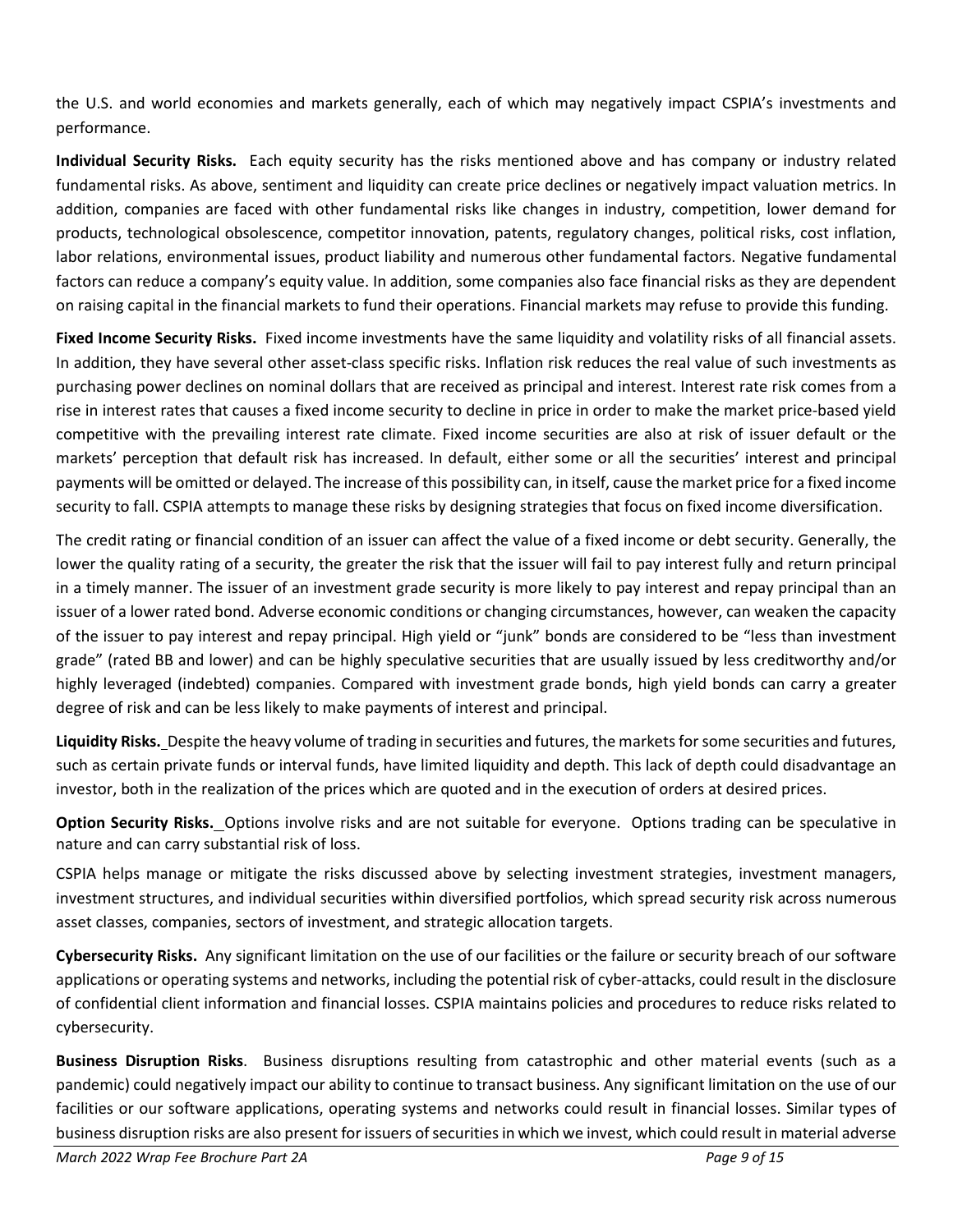the U.S. and world economies and markets generally, each of which may negatively impact CSPIA's investments and performance.

**Individual Security Risks.** Each equity security has the risks mentioned above and has company or industry related fundamental risks. As above, sentiment and liquidity can create price declines or negatively impact valuation metrics. In addition, companies are faced with other fundamental risks like changes in industry, competition, lower demand for products, technological obsolescence, competitor innovation, patents, regulatory changes, political risks, cost inflation, labor relations, environmental issues, product liability and numerous other fundamental factors. Negative fundamental factors can reduce a company's equity value. In addition, some companies also face financial risks as they are dependent on raising capital in the financial markets to fund their operations. Financial markets may refuse to provide this funding.

**Fixed Income Security Risks.** Fixed income investments have the same liquidity and volatility risks of all financial assets. In addition, they have several other asset-class specific risks. Inflation risk reduces the real value of such investments as purchasing power declines on nominal dollars that are received as principal and interest. Interest rate risk comes from a rise in interest rates that causes a fixed income security to decline in price in order to make the market price-based yield competitive with the prevailing interest rate climate. Fixed income securities are also at risk of issuer default or the markets' perception that default risk has increased. In default, either some or all the securities' interest and principal payments will be omitted or delayed. The increase of this possibility can, in itself, cause the market price for a fixed income security to fall. CSPIA attempts to manage these risks by designing strategies that focus on fixed income diversification.

The credit rating or financial condition of an issuer can affect the value of a fixed income or debt security. Generally, the lower the quality rating of a security, the greater the risk that the issuer will fail to pay interest fully and return principal in a timely manner. The issuer of an investment grade security is more likely to pay interest and repay principal than an issuer of a lower rated bond. Adverse economic conditions or changing circumstances, however, can weaken the capacity of the issuer to pay interest and repay principal. High yield or "junk" bonds are considered to be "less than investment grade" (rated BB and lower) and can be highly speculative securities that are usually issued by less creditworthy and/or highly leveraged (indebted) companies. Compared with investment grade bonds, high yield bonds can carry a greater degree of risk and can be less likely to make payments of interest and principal.

**Liquidity Risks.** Despite the heavy volume of trading in securities and futures, the markets for some securities and futures, such as certain private funds or interval funds, have limited liquidity and depth. This lack of depth could disadvantage an investor, both in the realization of the prices which are quoted and in the execution of orders at desired prices.

**Option Security Risks.** Options involve risks and are not suitable for everyone. Options trading can be speculative in nature and can carry substantial risk of loss.

CSPIA helps manage or mitigate the risks discussed above by selecting investment strategies, investment managers, investment structures, and individual securities within diversified portfolios, which spread security risk across numerous asset classes, companies, sectors of investment, and strategic allocation targets.

**Cybersecurity Risks.** Any significant limitation on the use of our facilities or the failure or security breach of our software applications or operating systems and networks, including the potential risk of cyber-attacks, could result in the disclosure of confidential client information and financial losses. CSPIA maintains policies and procedures to reduce risks related to cybersecurity.

**Business Disruption Risks**. Business disruptions resulting from catastrophic and other material events (such as a pandemic) could negatively impact our ability to continue to transact business. Any significant limitation on the use of our facilities or our software applications, operating systems and networks could result in financial losses. Similar types of business disruption risks are also present for issuers of securities in which we invest, which could result in material adverse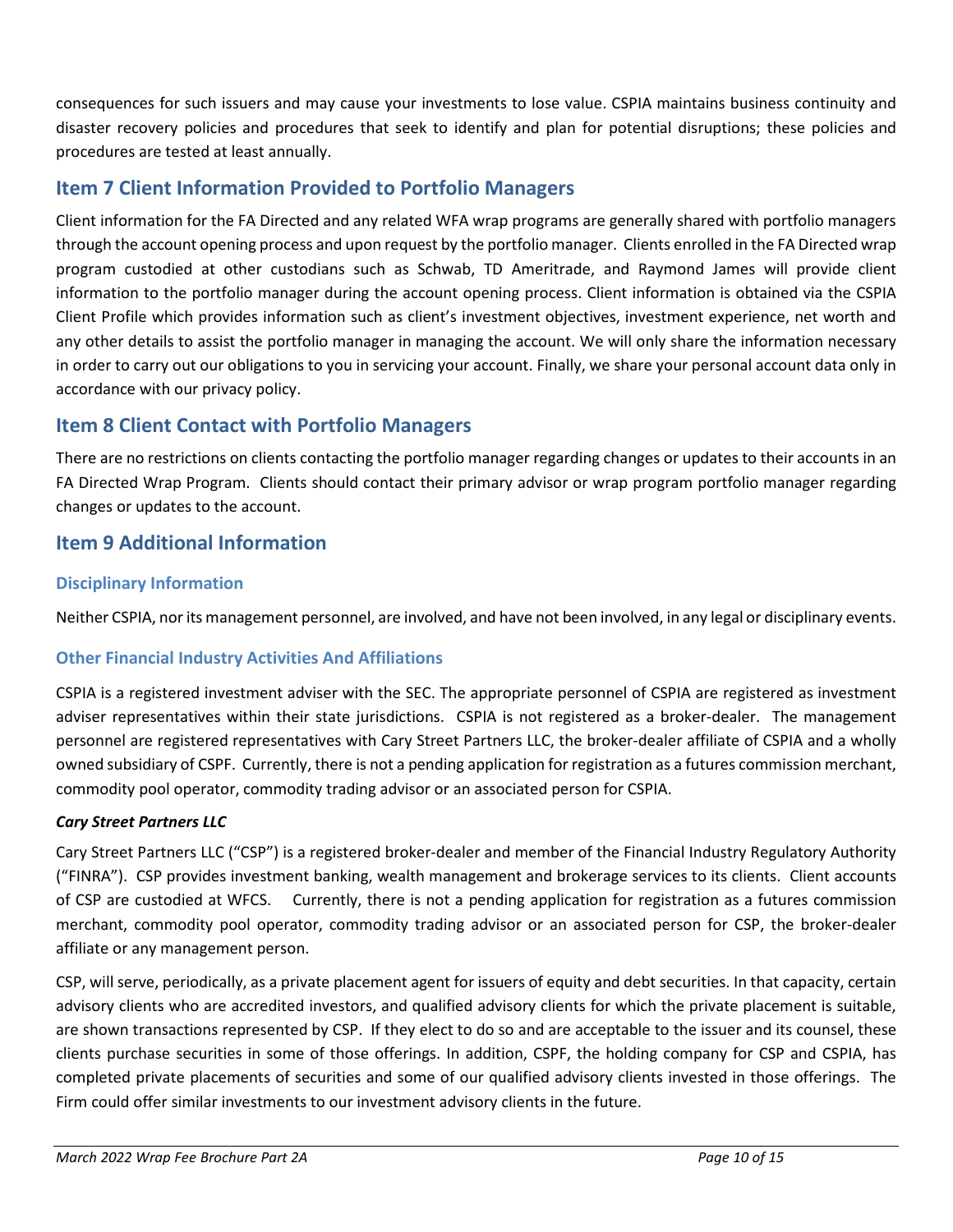consequences for such issuers and may cause your investments to lose value. CSPIA maintains business continuity and disaster recovery policies and procedures that seek to identify and plan for potential disruptions; these policies and procedures are tested at least annually.

### <span id="page-9-0"></span>**Item 7 Client Information Provided to Portfolio Managers**

Client information for the FA Directed and any related WFA wrap programs are generally shared with portfolio managers through the account opening process and upon request by the portfolio manager. Clients enrolled in the FA Directed wrap program custodied at other custodians such as Schwab, TD Ameritrade, and Raymond James will provide client information to the portfolio manager during the account opening process. Client information is obtained via the CSPIA Client Profile which provides information such as client's investment objectives, investment experience, net worth and any other details to assist the portfolio manager in managing the account. We will only share the information necessary in order to carry out our obligations to you in servicing your account. Finally, we share your personal account data only in accordance with our privacy policy.

### <span id="page-9-1"></span>**Item 8 Client Contact with Portfolio Managers**

There are no restrictions on clients contacting the portfolio manager regarding changes or updates to their accounts in an FA Directed Wrap Program. Clients should contact their primary advisor or wrap program portfolio manager regarding changes or updates to the account.

### <span id="page-9-2"></span>**Item 9 Additional Information**

### **Disciplinary Information**

Neither CSPIA, nor its management personnel, are involved, and have not been involved, in any legal or disciplinary events.

### **Other Financial Industry Activities And Affiliations**

CSPIA is a registered investment adviser with the SEC. The appropriate personnel of CSPIA are registered as investment adviser representatives within their state jurisdictions. CSPIA is not registered as a broker-dealer. The management personnel are registered representatives with Cary Street Partners LLC, the broker-dealer affiliate of CSPIA and a wholly owned subsidiary of CSPF. Currently, there is not a pending application for registration as a futures commission merchant, commodity pool operator, commodity trading advisor or an associated person for CSPIA.

#### *Cary Street Partners LLC*

Cary Street Partners LLC ("CSP") is a registered broker-dealer and member of the Financial Industry Regulatory Authority ("FINRA"). CSP provides investment banking, wealth management and brokerage services to its clients. Client accounts of CSP are custodied at WFCS. Currently, there is not a pending application for registration as a futures commission merchant, commodity pool operator, commodity trading advisor or an associated person for CSP, the broker-dealer affiliate or any management person.

CSP, will serve, periodically, as a private placement agent for issuers of equity and debt securities. In that capacity, certain advisory clients who are accredited investors, and qualified advisory clients for which the private placement is suitable, are shown transactions represented by CSP. If they elect to do so and are acceptable to the issuer and its counsel, these clients purchase securities in some of those offerings. In addition, CSPF, the holding company for CSP and CSPIA, has completed private placements of securities and some of our qualified advisory clients invested in those offerings. The Firm could offer similar investments to our investment advisory clients in the future.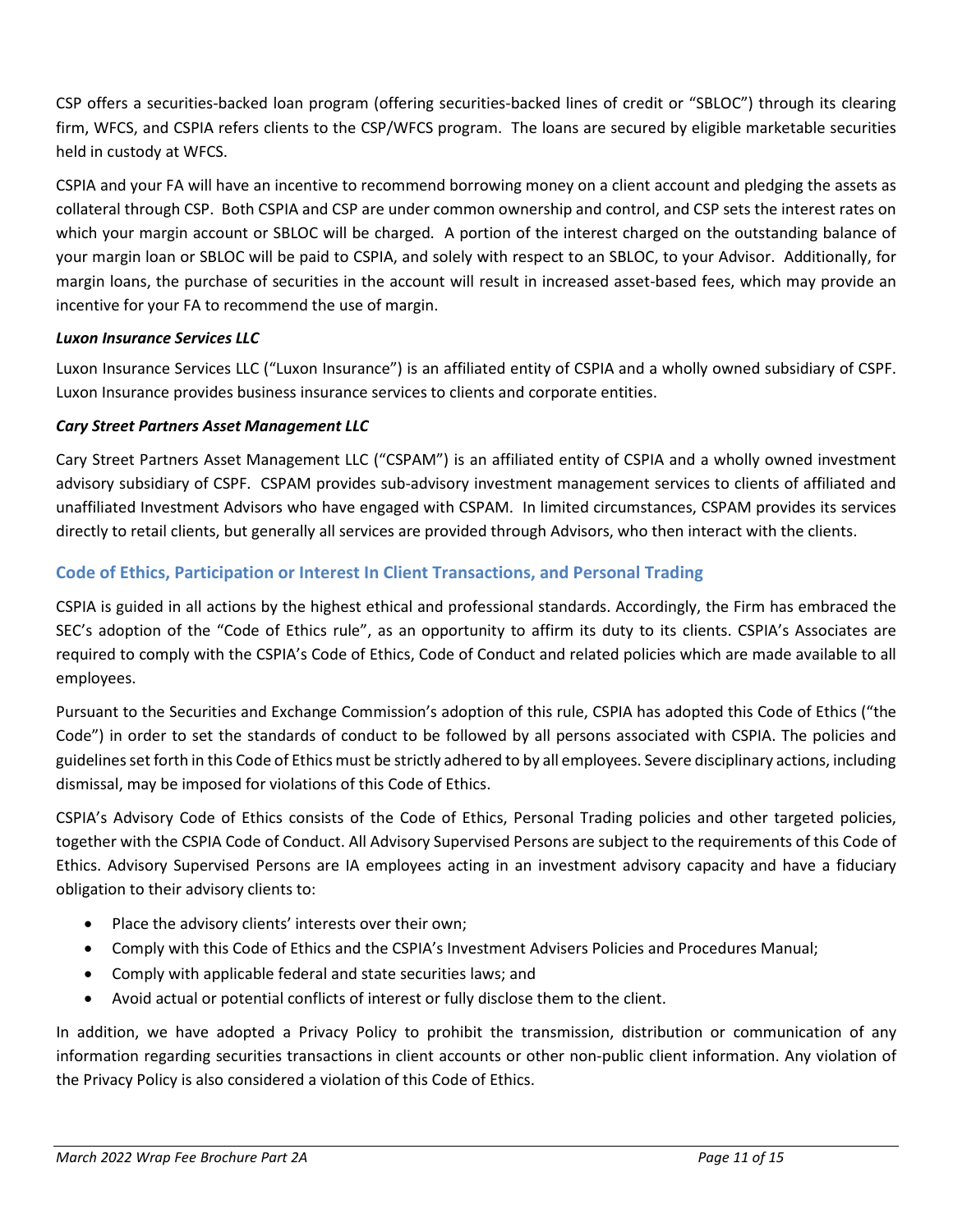CSP offers a securities-backed loan program (offering securities-backed lines of credit or "SBLOC") through its clearing firm, WFCS, and CSPIA refers clients to the CSP/WFCS program. The loans are secured by eligible marketable securities held in custody at WFCS.

CSPIA and your FA will have an incentive to recommend borrowing money on a client account and pledging the assets as collateral through CSP. Both CSPIA and CSP are under common ownership and control, and CSP sets the interest rates on which your margin account or SBLOC will be charged. A portion of the interest charged on the outstanding balance of your margin loan or SBLOC will be paid to CSPIA, and solely with respect to an SBLOC, to your Advisor. Additionally, for margin loans, the purchase of securities in the account will result in increased asset-based fees, which may provide an incentive for your FA to recommend the use of margin.

#### *Luxon Insurance Services LLC*

Luxon Insurance Services LLC ("Luxon Insurance") is an affiliated entity of CSPIA and a wholly owned subsidiary of CSPF. Luxon Insurance provides business insurance services to clients and corporate entities.

#### *Cary Street Partners Asset Management LLC*

Cary Street Partners Asset Management LLC ("CSPAM") is an affiliated entity of CSPIA and a wholly owned investment advisory subsidiary of CSPF. CSPAM provides sub-advisory investment management services to clients of affiliated and unaffiliated Investment Advisors who have engaged with CSPAM. In limited circumstances, CSPAM provides its services directly to retail clients, but generally all services are provided through Advisors, who then interact with the clients.

### **Code of Ethics, Participation or Interest In Client Transactions, and Personal Trading**

CSPIA is guided in all actions by the highest ethical and professional standards. Accordingly, the Firm has embraced the SEC's adoption of the "Code of Ethics rule", as an opportunity to affirm its duty to its clients. CSPIA's Associates are required to comply with the CSPIA's Code of Ethics, Code of Conduct and related policies which are made available to all employees.

Pursuant to the Securities and Exchange Commission's adoption of this rule, CSPIA has adopted this Code of Ethics ("the Code") in order to set the standards of conduct to be followed by all persons associated with CSPIA. The policies and guidelines set forth in this Code of Ethics must be strictly adhered to by all employees. Severe disciplinary actions, including dismissal, may be imposed for violations of this Code of Ethics.

CSPIA's Advisory Code of Ethics consists of the Code of Ethics, Personal Trading policies and other targeted policies, together with the CSPIA Code of Conduct. All Advisory Supervised Persons are subject to the requirements of this Code of Ethics. Advisory Supervised Persons are IA employees acting in an investment advisory capacity and have a fiduciary obligation to their advisory clients to:

- Place the advisory clients' interests over their own;
- Comply with this Code of Ethics and the CSPIA's Investment Advisers Policies and Procedures Manual;
- Comply with applicable federal and state securities laws; and
- Avoid actual or potential conflicts of interest or fully disclose them to the client.

In addition, we have adopted a Privacy Policy to prohibit the transmission, distribution or communication of any information regarding securities transactions in client accounts or other non-public client information. Any violation of the Privacy Policy is also considered a violation of this Code of Ethics.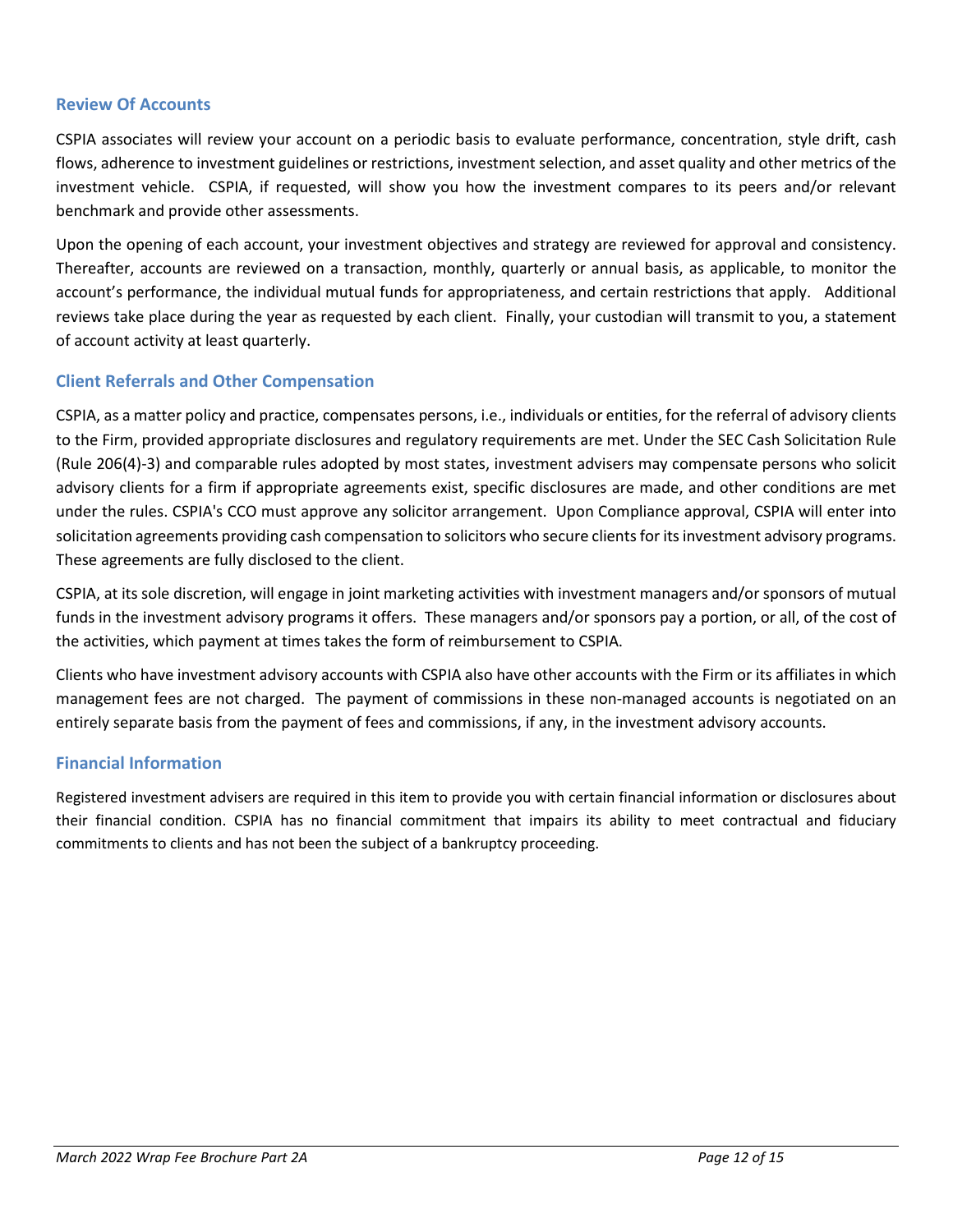#### **Review Of Accounts**

CSPIA associates will review your account on a periodic basis to evaluate performance, concentration, style drift, cash flows, adherence to investment guidelines or restrictions, investment selection, and asset quality and other metrics of the investment vehicle. CSPIA, if requested, will show you how the investment compares to its peers and/or relevant benchmark and provide other assessments.

Upon the opening of each account, your investment objectives and strategy are reviewed for approval and consistency. Thereafter, accounts are reviewed on a transaction, monthly, quarterly or annual basis, as applicable, to monitor the account's performance, the individual mutual funds for appropriateness, and certain restrictions that apply. Additional reviews take place during the year as requested by each client. Finally, your custodian will transmit to you, a statement of account activity at least quarterly.

#### **Client Referrals and Other Compensation**

CSPIA, as a matter policy and practice, compensates persons, i.e., individuals or entities, for the referral of advisory clients to the Firm, provided appropriate disclosures and regulatory requirements are met. Under the SEC Cash Solicitation Rule (Rule 206(4)-3) and comparable rules adopted by most states, investment advisers may compensate persons who solicit advisory clients for a firm if appropriate agreements exist, specific disclosures are made, and other conditions are met under the rules. CSPIA's CCO must approve any solicitor arrangement. Upon Compliance approval, CSPIA will enter into solicitation agreements providing cash compensation to solicitors who secure clients for its investment advisory programs. These agreements are fully disclosed to the client.

CSPIA, at its sole discretion, will engage in joint marketing activities with investment managers and/or sponsors of mutual funds in the investment advisory programs it offers. These managers and/or sponsors pay a portion, or all, of the cost of the activities, which payment at times takes the form of reimbursement to CSPIA.

Clients who have investment advisory accounts with CSPIA also have other accounts with the Firm or its affiliates in which management fees are not charged. The payment of commissions in these non-managed accounts is negotiated on an entirely separate basis from the payment of fees and commissions, if any, in the investment advisory accounts.

#### **Financial Information**

Registered investment advisers are required in this item to provide you with certain financial information or disclosures about their financial condition. CSPIA has no financial commitment that impairs its ability to meet contractual and fiduciary commitments to clients and has not been the subject of a bankruptcy proceeding.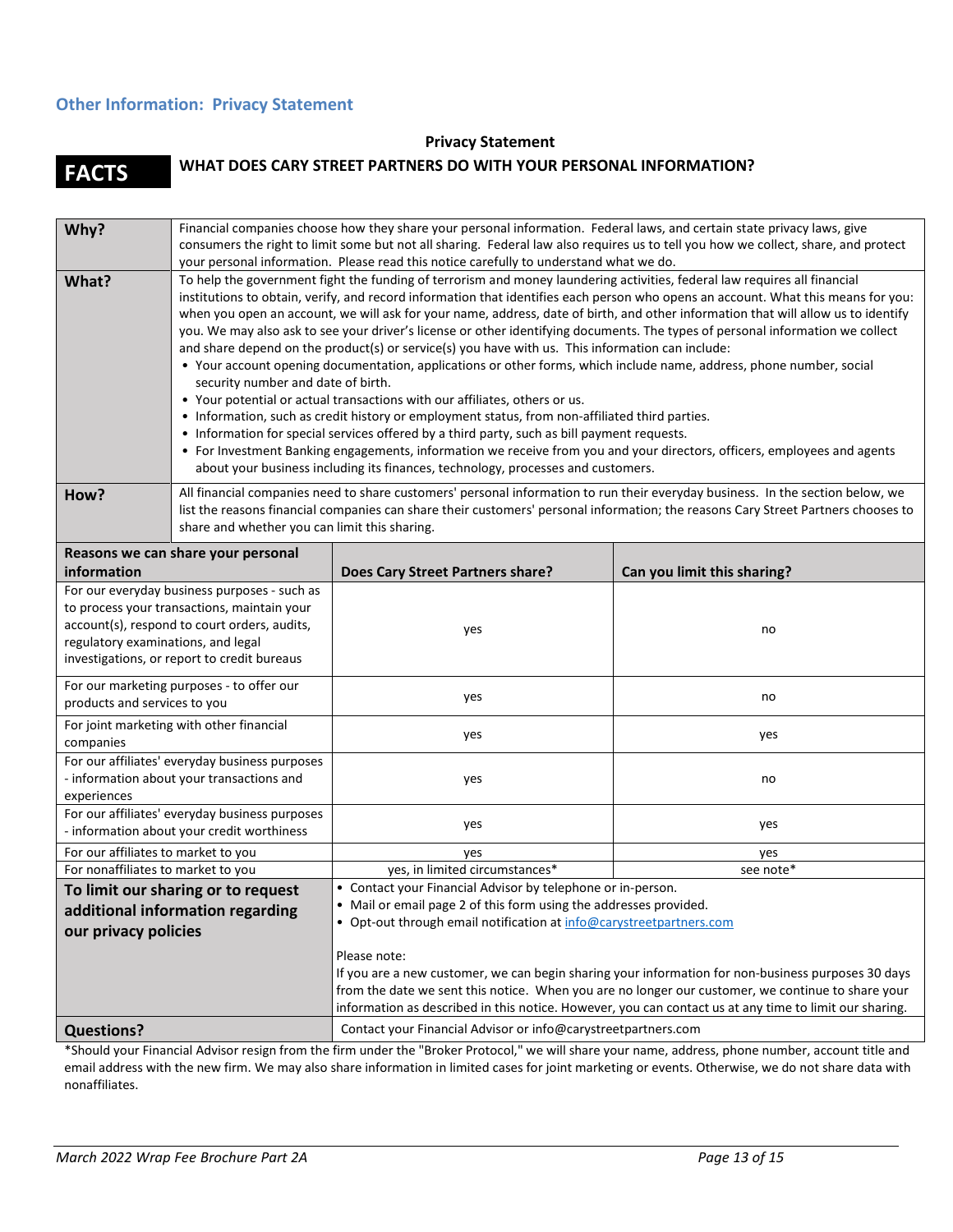### **Other Information: Privacy Statement**

#### **Privacy Statement**

# **FACTS WHAT DOES CARY STREET PARTNERS DO WITH YOUR PERSONAL INFORMATION?**

| Why?                                                                                                                                                                                                                             | Financial companies choose how they share your personal information. Federal laws, and certain state privacy laws, give<br>consumers the right to limit some but not all sharing. Federal law also requires us to tell you how we collect, share, and protect                                                                                                                                                                                                                                                                                                                                                                                                                                                                                                                                                                                                                                                                                                                                                                                                                                                                                                                                                                                                                                                                                                                                    |                                                                                                                                                                                                         |                             |  |  |
|----------------------------------------------------------------------------------------------------------------------------------------------------------------------------------------------------------------------------------|--------------------------------------------------------------------------------------------------------------------------------------------------------------------------------------------------------------------------------------------------------------------------------------------------------------------------------------------------------------------------------------------------------------------------------------------------------------------------------------------------------------------------------------------------------------------------------------------------------------------------------------------------------------------------------------------------------------------------------------------------------------------------------------------------------------------------------------------------------------------------------------------------------------------------------------------------------------------------------------------------------------------------------------------------------------------------------------------------------------------------------------------------------------------------------------------------------------------------------------------------------------------------------------------------------------------------------------------------------------------------------------------------|---------------------------------------------------------------------------------------------------------------------------------------------------------------------------------------------------------|-----------------------------|--|--|
| What?                                                                                                                                                                                                                            | your personal information. Please read this notice carefully to understand what we do.<br>To help the government fight the funding of terrorism and money laundering activities, federal law requires all financial<br>institutions to obtain, verify, and record information that identifies each person who opens an account. What this means for you:<br>when you open an account, we will ask for your name, address, date of birth, and other information that will allow us to identify<br>you. We may also ask to see your driver's license or other identifying documents. The types of personal information we collect<br>and share depend on the product(s) or service(s) you have with us. This information can include:<br>• Your account opening documentation, applications or other forms, which include name, address, phone number, social<br>security number and date of birth.<br>• Your potential or actual transactions with our affiliates, others or us.<br>• Information, such as credit history or employment status, from non-affiliated third parties.<br>• Information for special services offered by a third party, such as bill payment requests.<br>• For Investment Banking engagements, information we receive from you and your directors, officers, employees and agents<br>about your business including its finances, technology, processes and customers. |                                                                                                                                                                                                         |                             |  |  |
| How?                                                                                                                                                                                                                             | All financial companies need to share customers' personal information to run their everyday business. In the section below, we<br>list the reasons financial companies can share their customers' personal information; the reasons Cary Street Partners chooses to<br>share and whether you can limit this sharing.                                                                                                                                                                                                                                                                                                                                                                                                                                                                                                                                                                                                                                                                                                                                                                                                                                                                                                                                                                                                                                                                             |                                                                                                                                                                                                         |                             |  |  |
| Reasons we can share your personal<br>information                                                                                                                                                                                |                                                                                                                                                                                                                                                                                                                                                                                                                                                                                                                                                                                                                                                                                                                                                                                                                                                                                                                                                                                                                                                                                                                                                                                                                                                                                                                                                                                                  | Does Cary Street Partners share?                                                                                                                                                                        | Can you limit this sharing? |  |  |
| For our everyday business purposes - such as<br>to process your transactions, maintain your<br>account(s), respond to court orders, audits,<br>regulatory examinations, and legal<br>investigations, or report to credit bureaus |                                                                                                                                                                                                                                                                                                                                                                                                                                                                                                                                                                                                                                                                                                                                                                                                                                                                                                                                                                                                                                                                                                                                                                                                                                                                                                                                                                                                  | yes                                                                                                                                                                                                     | no                          |  |  |
| For our marketing purposes - to offer our<br>products and services to you                                                                                                                                                        |                                                                                                                                                                                                                                                                                                                                                                                                                                                                                                                                                                                                                                                                                                                                                                                                                                                                                                                                                                                                                                                                                                                                                                                                                                                                                                                                                                                                  | yes                                                                                                                                                                                                     | no                          |  |  |
| For joint marketing with other financial<br>companies                                                                                                                                                                            |                                                                                                                                                                                                                                                                                                                                                                                                                                                                                                                                                                                                                                                                                                                                                                                                                                                                                                                                                                                                                                                                                                                                                                                                                                                                                                                                                                                                  | yes                                                                                                                                                                                                     | yes                         |  |  |
| For our affiliates' everyday business purposes<br>- information about your transactions and<br>experiences                                                                                                                       |                                                                                                                                                                                                                                                                                                                                                                                                                                                                                                                                                                                                                                                                                                                                                                                                                                                                                                                                                                                                                                                                                                                                                                                                                                                                                                                                                                                                  | yes                                                                                                                                                                                                     | no                          |  |  |
| For our affiliates' everyday business purposes<br>- information about your credit worthiness                                                                                                                                     |                                                                                                                                                                                                                                                                                                                                                                                                                                                                                                                                                                                                                                                                                                                                                                                                                                                                                                                                                                                                                                                                                                                                                                                                                                                                                                                                                                                                  | yes                                                                                                                                                                                                     | yes                         |  |  |
| For our affiliates to market to you                                                                                                                                                                                              |                                                                                                                                                                                                                                                                                                                                                                                                                                                                                                                                                                                                                                                                                                                                                                                                                                                                                                                                                                                                                                                                                                                                                                                                                                                                                                                                                                                                  | yes                                                                                                                                                                                                     | yes                         |  |  |
| For nonaffiliates to market to you                                                                                                                                                                                               |                                                                                                                                                                                                                                                                                                                                                                                                                                                                                                                                                                                                                                                                                                                                                                                                                                                                                                                                                                                                                                                                                                                                                                                                                                                                                                                                                                                                  | yes, in limited circumstances*                                                                                                                                                                          | see note*                   |  |  |
| To limit our sharing or to request<br>additional information regarding<br>our privacy policies                                                                                                                                   |                                                                                                                                                                                                                                                                                                                                                                                                                                                                                                                                                                                                                                                                                                                                                                                                                                                                                                                                                                                                                                                                                                                                                                                                                                                                                                                                                                                                  | • Contact your Financial Advisor by telephone or in-person.<br>• Mail or email page 2 of this form using the addresses provided.<br>• Opt-out through email notification at info@carystreetpartners.com |                             |  |  |
|                                                                                                                                                                                                                                  | Please note:<br>If you are a new customer, we can begin sharing your information for non-business purposes 30 days<br>from the date we sent this notice. When you are no longer our customer, we continue to share your<br>information as described in this notice. However, you can contact us at any time to limit our sharing.                                                                                                                                                                                                                                                                                                                                                                                                                                                                                                                                                                                                                                                                                                                                                                                                                                                                                                                                                                                                                                                                |                                                                                                                                                                                                         |                             |  |  |
| <b>Questions?</b>                                                                                                                                                                                                                |                                                                                                                                                                                                                                                                                                                                                                                                                                                                                                                                                                                                                                                                                                                                                                                                                                                                                                                                                                                                                                                                                                                                                                                                                                                                                                                                                                                                  | Contact your Financial Advisor or info@carystreetpartners.com                                                                                                                                           |                             |  |  |

\*Should your Financial Advisor resign from the firm under the "Broker Protocol," we will share your name, address, phone number, account title and email address with the new firm. We may also share information in limited cases for joint marketing or events. Otherwise, we do not share data with nonaffiliates.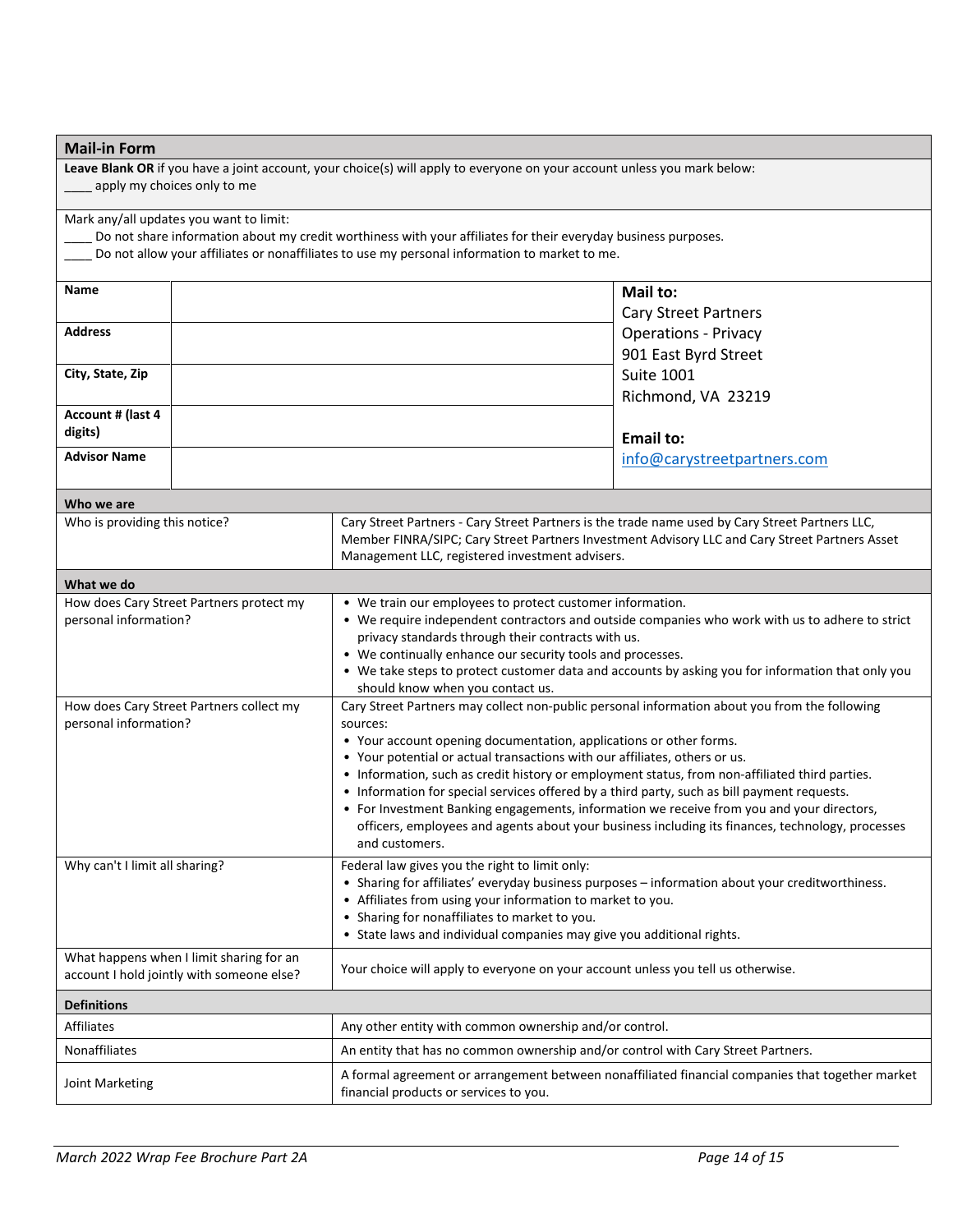| <b>Mail-in Form</b>                                                                                                                                                                                                                                        |  |                                                                                                                                                                                                                                                                                                                                                                                                                                                                                                                                                                                                                                                                                   |                             |  |  |
|------------------------------------------------------------------------------------------------------------------------------------------------------------------------------------------------------------------------------------------------------------|--|-----------------------------------------------------------------------------------------------------------------------------------------------------------------------------------------------------------------------------------------------------------------------------------------------------------------------------------------------------------------------------------------------------------------------------------------------------------------------------------------------------------------------------------------------------------------------------------------------------------------------------------------------------------------------------------|-----------------------------|--|--|
| Leave Blank OR if you have a joint account, your choice(s) will apply to everyone on your account unless you mark below:<br>apply my choices only to me                                                                                                    |  |                                                                                                                                                                                                                                                                                                                                                                                                                                                                                                                                                                                                                                                                                   |                             |  |  |
| Mark any/all updates you want to limit:<br>Do not share information about my credit worthiness with your affiliates for their everyday business purposes.<br>Do not allow your affiliates or nonaffiliates to use my personal information to market to me. |  |                                                                                                                                                                                                                                                                                                                                                                                                                                                                                                                                                                                                                                                                                   |                             |  |  |
|                                                                                                                                                                                                                                                            |  |                                                                                                                                                                                                                                                                                                                                                                                                                                                                                                                                                                                                                                                                                   |                             |  |  |
| Name                                                                                                                                                                                                                                                       |  |                                                                                                                                                                                                                                                                                                                                                                                                                                                                                                                                                                                                                                                                                   | Mail to:                    |  |  |
|                                                                                                                                                                                                                                                            |  |                                                                                                                                                                                                                                                                                                                                                                                                                                                                                                                                                                                                                                                                                   | Cary Street Partners        |  |  |
| <b>Address</b>                                                                                                                                                                                                                                             |  |                                                                                                                                                                                                                                                                                                                                                                                                                                                                                                                                                                                                                                                                                   | <b>Operations - Privacy</b> |  |  |
|                                                                                                                                                                                                                                                            |  |                                                                                                                                                                                                                                                                                                                                                                                                                                                                                                                                                                                                                                                                                   | 901 East Byrd Street        |  |  |
| City, State, Zip                                                                                                                                                                                                                                           |  |                                                                                                                                                                                                                                                                                                                                                                                                                                                                                                                                                                                                                                                                                   | <b>Suite 1001</b>           |  |  |
|                                                                                                                                                                                                                                                            |  |                                                                                                                                                                                                                                                                                                                                                                                                                                                                                                                                                                                                                                                                                   | Richmond, VA 23219          |  |  |
| Account # (last 4<br>digits)                                                                                                                                                                                                                               |  |                                                                                                                                                                                                                                                                                                                                                                                                                                                                                                                                                                                                                                                                                   | <b>Email to:</b>            |  |  |
| <b>Advisor Name</b>                                                                                                                                                                                                                                        |  |                                                                                                                                                                                                                                                                                                                                                                                                                                                                                                                                                                                                                                                                                   | info@carystreetpartners.com |  |  |
| Who we are                                                                                                                                                                                                                                                 |  |                                                                                                                                                                                                                                                                                                                                                                                                                                                                                                                                                                                                                                                                                   |                             |  |  |
| Who is providing this notice?                                                                                                                                                                                                                              |  | Cary Street Partners - Cary Street Partners is the trade name used by Cary Street Partners LLC,<br>Member FINRA/SIPC; Cary Street Partners Investment Advisory LLC and Cary Street Partners Asset<br>Management LLC, registered investment advisers.                                                                                                                                                                                                                                                                                                                                                                                                                              |                             |  |  |
| What we do                                                                                                                                                                                                                                                 |  |                                                                                                                                                                                                                                                                                                                                                                                                                                                                                                                                                                                                                                                                                   |                             |  |  |
| How does Cary Street Partners protect my<br>personal information?                                                                                                                                                                                          |  | • We train our employees to protect customer information.<br>• We require independent contractors and outside companies who work with us to adhere to strict<br>privacy standards through their contracts with us.<br>• We continually enhance our security tools and processes.<br>• We take steps to protect customer data and accounts by asking you for information that only you<br>should know when you contact us.                                                                                                                                                                                                                                                         |                             |  |  |
| How does Cary Street Partners collect my<br>personal information?                                                                                                                                                                                          |  | Cary Street Partners may collect non-public personal information about you from the following<br>sources:<br>• Your account opening documentation, applications or other forms.<br>• Your potential or actual transactions with our affiliates, others or us.<br>• Information, such as credit history or employment status, from non-affiliated third parties.<br>• Information for special services offered by a third party, such as bill payment requests.<br>• For Investment Banking engagements, information we receive from you and your directors,<br>officers, employees and agents about your business including its finances, technology, processes<br>and customers. |                             |  |  |
| Why can't I limit all sharing?                                                                                                                                                                                                                             |  | Federal law gives you the right to limit only:<br>• Sharing for affiliates' everyday business purposes - information about your creditworthiness.<br>• Affiliates from using your information to market to you.<br>• Sharing for nonaffiliates to market to you.<br>• State laws and individual companies may give you additional rights.                                                                                                                                                                                                                                                                                                                                         |                             |  |  |
| What happens when I limit sharing for an<br>account I hold jointly with someone else?                                                                                                                                                                      |  | Your choice will apply to everyone on your account unless you tell us otherwise.                                                                                                                                                                                                                                                                                                                                                                                                                                                                                                                                                                                                  |                             |  |  |
| <b>Definitions</b>                                                                                                                                                                                                                                         |  |                                                                                                                                                                                                                                                                                                                                                                                                                                                                                                                                                                                                                                                                                   |                             |  |  |
| Affiliates                                                                                                                                                                                                                                                 |  | Any other entity with common ownership and/or control.                                                                                                                                                                                                                                                                                                                                                                                                                                                                                                                                                                                                                            |                             |  |  |
| Nonaffiliates                                                                                                                                                                                                                                              |  | An entity that has no common ownership and/or control with Cary Street Partners.                                                                                                                                                                                                                                                                                                                                                                                                                                                                                                                                                                                                  |                             |  |  |
| Joint Marketing                                                                                                                                                                                                                                            |  | A formal agreement or arrangement between nonaffiliated financial companies that together market<br>financial products or services to you.                                                                                                                                                                                                                                                                                                                                                                                                                                                                                                                                        |                             |  |  |